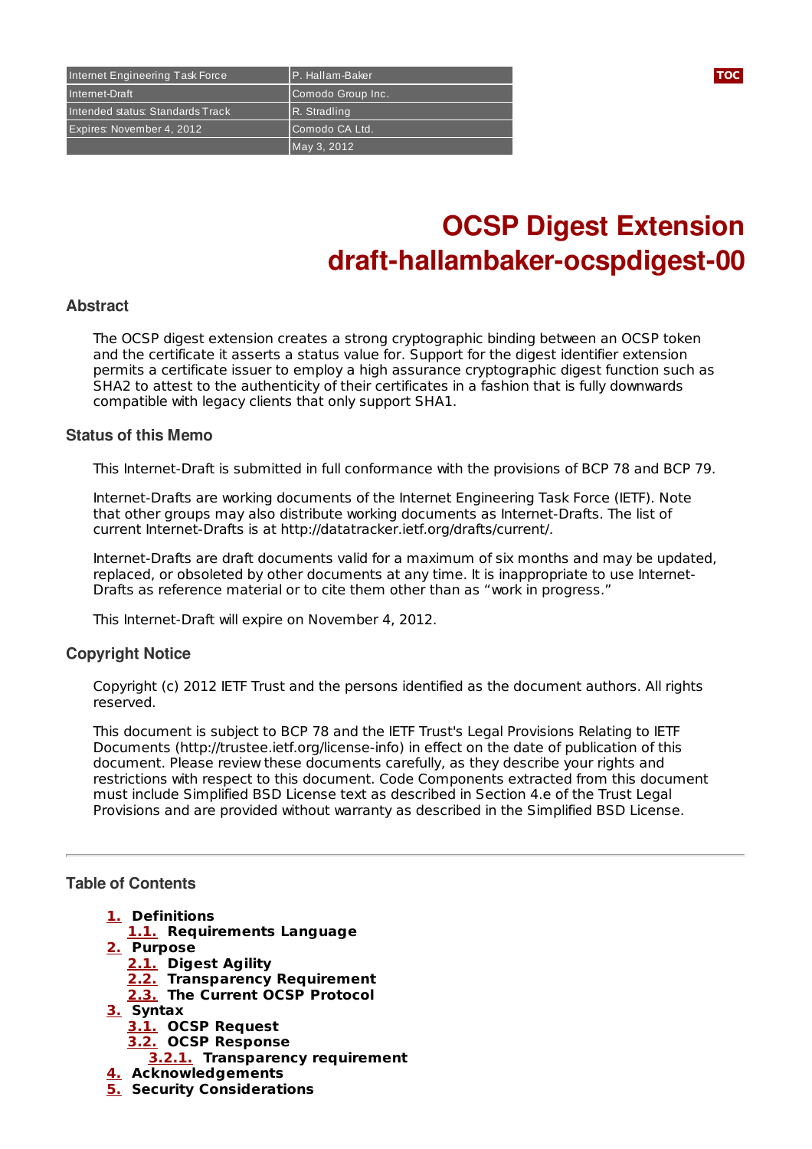

# **OCSP Digest Extension draft-hallambaker-ocspdigest-00**

#### **Abstract**

The OCSP digest extension creates a strong cryptographic binding between an OCSP token and the certificate it asserts a status value for. Support for the digest identifier extension permits a certificate issuer to employ a high assurance cryptographic digest function such as SHA2 to attest to the authenticity of their certificates in a fashion that is fully downwards compatible with legacy clients that only support SHA1.

#### **Status of this Memo**

This Internet-Draft is submitted in full conformance with the provisions of BCP 78 and BCP 79.

Internet-Drafts are working documents of the Internet Engineering Task Force (IETF). Note that other groups may also distribute working documents as Internet-Drafts. The list of current Internet-Drafts is at http://datatracker.ietf.org/drafts/current/.

Internet-Drafts are draft documents valid for a maximum of six months and may be updated, replaced, or obsoleted by other documents at any time. It is inappropriate to use Internet-Drafts as reference material or to cite them other than as "work in progress."

This Internet-Draft will expire on November 4, 2012.

### **Copyright Notice**

Copyright (c) 2012 IETF Trust and the persons identified as the document authors. All rights reserved.

This document is subject to BCP 78 and the IETF Trust's Legal Provisions Relating to IETF Documents (http://trustee.ietf.org/license-info) in effect on the date of publication of this document. Please review these documents carefully, as they describe your rights and restrictions with respect to this document. Code Components extracted from this document must include Simplified BSD License text as described in Section 4.e of the Trust Legal Provisions and are provided without warranty as described in the Simplified BSD License.

#### <span id="page-0-0"></span>**Table of Contents**

- **[1.](#page-1-0) Definitions**
- **[1.1.](#page-1-1) Requirements Language**
- **[2.](#page-1-2) Purpose**
	- **[2.1.](#page-1-3) Digest Agility**
	- **[2.2.](#page-2-0) Transparency Requirement**
	- **[2.3.](#page-2-1) The Current OCSP Protocol**
- **[3.](#page-3-0) Syntax**
	- **[3.1.](#page-3-1) OCSP Request**
	- **[3.2.](#page-3-2) OCSP Response**
		- **[3.2.1.](#page-4-0) Transparency requirement**
- **[4.](#page-4-1) Acknowledgements**
- **[5.](#page-4-2) Security Considerations**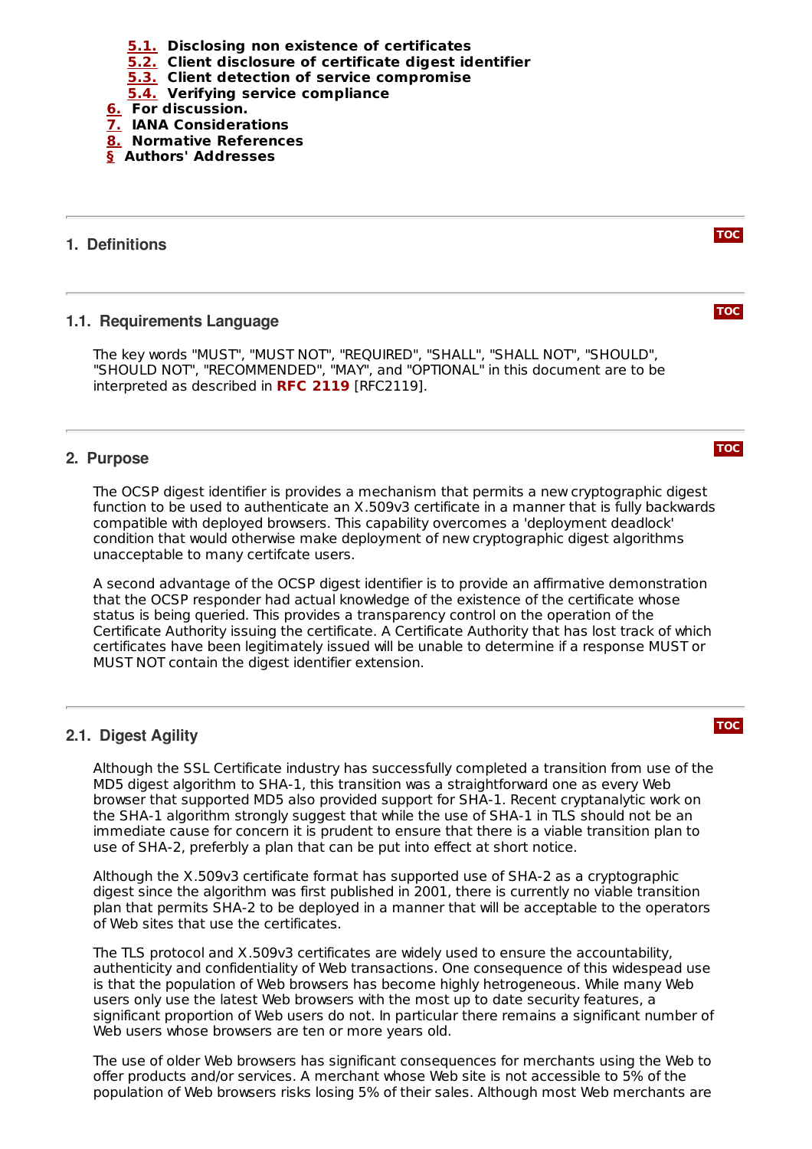- **[5.1.](#page-4-3) Disclosing non existence of certificates**
- **[5.2.](#page-4-4) Client disclosure of certificate digest identifier**
- **[5.3.](#page-4-5) Client detection of service compromise**
- **[5.4.](#page-4-6) Verifying service compliance**
- **[6.](#page-5-0) For discussion.**
- **[7.](#page-5-1) IANA Considerations**
- **[8.](#page-5-2) Normative References**
- <span id="page-1-0"></span>**[§](#page-5-3) Authors' Addresses**

#### <span id="page-1-1"></span>**1. Definitions**

#### **1.1. Requirements Language**

The key words "MUST", "MUST NOT", "REQUIRED", "SHALL", "SHALL NOT", "SHOULD", "SHOULD NOT", "RECOMMENDED", "MAY", and "OPTIONAL" in this document are to be interpreted as described in RFC [2119](#page-5-4) [RFC2119].

#### <span id="page-1-2"></span>**2. Purpose**

The OCSP digest identifier is provides a mechanism that permits a new cryptographic digest function to be used to authenticate an X.509v3 certificate in a manner that is fully backwards compatible with deployed browsers. This capability overcomes a 'deployment deadlock' condition that would otherwise make deployment of new cryptographic digest algorithms unacceptable to many certifcate users.

A second advantage of the OCSP digest identifier is to provide an affirmative demonstration that the OCSP responder had actual knowledge of the existence of the certificate whose status is being queried. This provides a transparency control on the operation of the Certificate Authority issuing the certificate. A Certificate Authority that has lost track of which certificates have been legitimately issued will be unable to determine if a response MUST or MUST NOT contain the digest identifier extension.

#### <span id="page-1-3"></span>**2.1. Digest Agility**

Although the SSL Certificate industry has successfully completed a transition from use of the MD5 digest algorithm to SHA-1, this transition was a straightforward one as every Web browser that supported MD5 also provided support for SHA-1. Recent cryptanalytic work on the SHA-1 algorithm strongly suggest that while the use of SHA-1 in TLS should not be an immediate cause for concern it is prudent to ensure that there is a viable transition plan to use of SHA-2, preferbly a plan that can be put into effect at short notice.

Although the X.509v3 certificate format has supported use of SHA-2 as a cryptographic digest since the algorithm was first published in 2001, there is currently no viable transition plan that permits SHA-2 to be deployed in a manner that will be acceptable to the operators of Web sites that use the certificates.

The TLS protocol and X.509v3 certificates are widely used to ensure the accountability, authenticity and confidentiality of Web transactions. One consequence of this widespead use is that the population of Web browsers has become highly hetrogeneous. While many Web users only use the latest Web browsers with the most up to date security features, a significant proportion of Web users do not. In particular there remains a significant number of Web users whose browsers are ten or more years old.

The use of older Web browsers has significant consequences for merchants using the Web to offer products and/or services. A merchant whose Web site is not accessible to 5% of the population of Web browsers risks losing 5% of their sales. Although most Web merchants are

#### **[TOC](#page-0-0)**



**[TOC](#page-0-0)**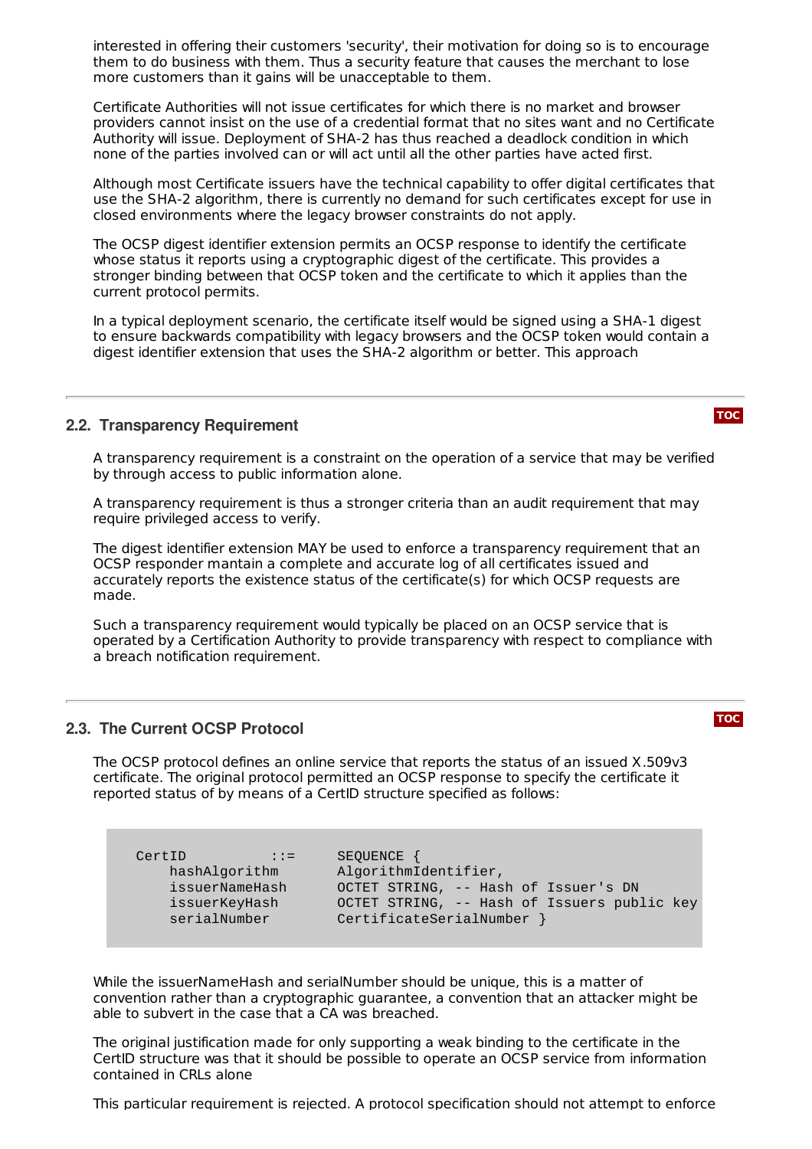interested in offering their customers 'security', their motivation for doing so is to encourage them to do business with them. Thus a security feature that causes the merchant to lose more customers than it gains will be unacceptable to them.

Certificate Authorities will not issue certificates for which there is no market and browser providers cannot insist on the use of a credential format that no sites want and no Certificate Authority will issue. Deployment of SHA-2 has thus reached a deadlock condition in which none of the parties involved can or will act until all the other parties have acted first.

Although most Certificate issuers have the technical capability to offer digital certificates that use the SHA-2 algorithm, there is currently no demand for such certificates except for use in closed environments where the legacy browser constraints do not apply.

The OCSP digest identifier extension permits an OCSP response to identify the certificate whose status it reports using a cryptographic digest of the certificate. This provides a stronger binding between that OCSP token and the certificate to which it applies than the current protocol permits.

In a typical deployment scenario, the certificate itself would be signed using a SHA-1 digest to ensure backwards compatibility with legacy browsers and the OCSP token would contain a digest identifier extension that uses the SHA-2 algorithm or better. This approach

#### <span id="page-2-0"></span>**2.2. Transparency Requirement**

A transparency requirement is a constraint on the operation of a service that may be verified by through access to public information alone.

A transparency requirement is thus a stronger criteria than an audit requirement that may require privileged access to verify.

The digest identifier extension MAY be used to enforce a transparency requirement that an OCSP responder mantain a complete and accurate log of all certificates issued and accurately reports the existence status of the certificate(s) for which OCSP requests are made.

Such a transparency requirement would typically be placed on an OCSP service that is operated by a Certification Authority to provide transparency with respect to compliance with a breach notification requirement.

#### <span id="page-2-1"></span>**2.3. The Current OCSP Protocol**

The OCSP protocol defines an online service that reports the status of an issued X.509v3 certificate. The original protocol permitted an OCSP response to specify the certificate it reported status of by means of a CertID structure specified as follows:

CertID ::= SEQUENCE {

hashAlgorithm AlgorithmIdentifier, issuerNameHash OCTET STRING, -- Hash of Issuer's DN issuerKeyHash OCTET STRING, -- Hash of Issuers public key serialNumber CertificateSerialNumber }

While the issuerNameHash and serialNumber should be unique, this is a matter of convention rather than a cryptographic guarantee, a convention that an attacker might be able to subvert in the case that a CA was breached.

The original justification made for only supporting a weak binding to the certificate in the CertID structure was that it should be possible to operate an OCSP service from information contained in CRLs alone

This particular requirement is rejected. A protocol specification should not attempt to enforce

**[TOC](#page-0-0)**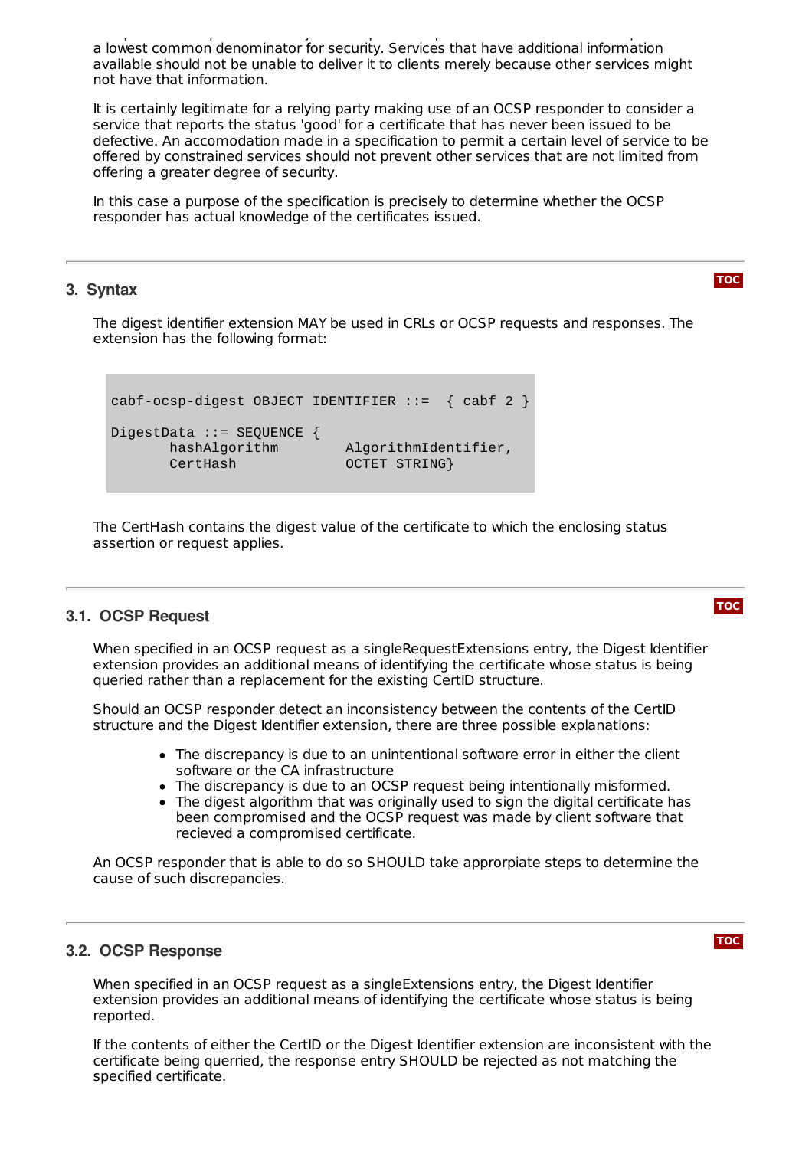This particular requirement is rejected. A protocol specification should not attempt to enforce a lowest common denominator for security. Services that have additional information available should not be unable to deliver it to clients merely because other services might not have that information.

It is certainly legitimate for a relying party making use of an OCSP responder to consider a service that reports the status 'good' for a certificate that has never been issued to be defective. An accomodation made in a specification to permit a certain level of service to be offered by constrained services should not prevent other services that are not limited from offering a greater degree of security.

In this case a purpose of the specification is precisely to determine whether the OCSP responder has actual knowledge of the certificates issued.

#### <span id="page-3-0"></span>**3. Syntax**

The digest identifier extension MAY be used in CRLs or OCSP requests and responses. The extension has the following format:

```
cabf-ocsp-digest OBJECT IDENTIFIER ::= { cabf 2 }
DigestData ::= SEQUENCE {
      hashAlgorithm AlgorithmIdentifier,
      CertHash OCTET STRING}
```
The CertHash contains the digest value of the certificate to which the enclosing status assertion or request applies.

#### <span id="page-3-1"></span>**3.1. OCSP Request**

When specified in an OCSP request as a singleRequestExtensions entry, the Digest Identifier extension provides an additional means of identifying the certificate whose status is being queried rather than a replacement for the existing CertID structure.

Should an OCSP responder detect an inconsistency between the contents of the CertID structure and the Digest Identifier extension, there are three possible explanations:

- The discrepancy is due to an unintentional software error in either the client software or the CA infrastructure
- The discrepancy is due to an OCSP request being intentionally misformed.
- The digest algorithm that was originally used to sign the digital certificate has been compromised and the OCSP request was made by client software that recieved a compromised certificate.

An OCSP responder that is able to do so SHOULD take approrpiate steps to determine the cause of such discrepancies.

#### <span id="page-3-2"></span>**3.2. OCSP Response**

When specified in an OCSP request as a singleExtensions entry, the Digest Identifier extension provides an additional means of identifying the certificate whose status is being reported.

If the contents of either the CertID or the Digest Identifier extension are inconsistent with the certificate being querried, the response entry SHOULD be rejected as not matching the specified certificate.



**[TOC](#page-0-0)**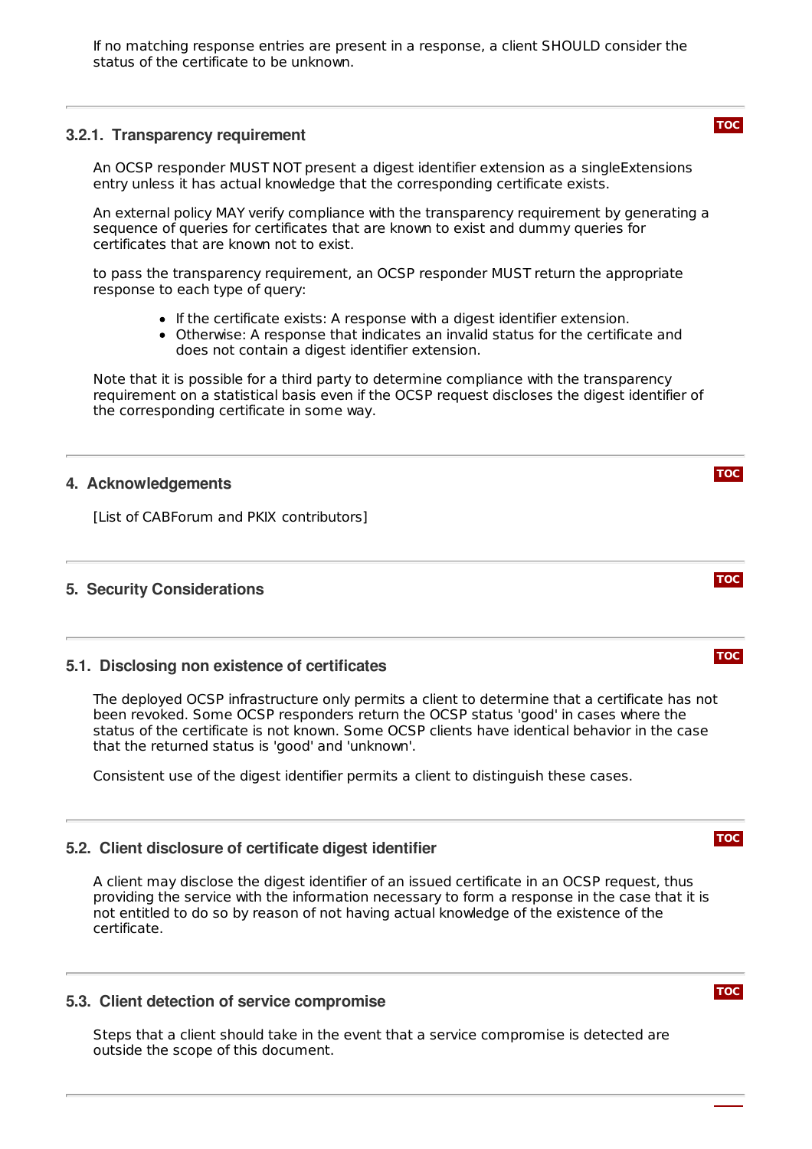If no matching response entries are present in a response, a client SHOULD consider the status of the certificate to be unknown.

#### <span id="page-4-0"></span>**3.2.1. Transparency requirement**

An OCSP responder MUST NOT present a digest identifier extension as a singleExtensions entry unless it has actual knowledge that the corresponding certificate exists.

An external policy MAY verify compliance with the transparency requirement by generating a sequence of queries for certificates that are known to exist and dummy queries for certificates that are known not to exist.

to pass the transparency requirement, an OCSP responder MUST return the appropriate response to each type of query:

- If the certificate exists: A response with a digest identifier extension.
- Otherwise: A response that indicates an invalid status for the certificate and does not contain a digest identifier extension.

Note that it is possible for a third party to determine compliance with the transparency requirement on a statistical basis even if the OCSP request discloses the digest identifier of the corresponding certificate in some way.

#### <span id="page-4-1"></span>**4. Acknowledgements**

<span id="page-4-2"></span>[List of CABForum and PKIX contributors]

### <span id="page-4-3"></span>**5. Security Considerations**

#### **5.1. Disclosing non existence of certificates**

The deployed OCSP infrastructure only permits a client to determine that a certificate has not been revoked. Some OCSP responders return the OCSP status 'good' in cases where the status of the certificate is not known. Some OCSP clients have identical behavior in the case that the returned status is 'good' and 'unknown'.

<span id="page-4-4"></span>Consistent use of the digest identifier permits a client to distinguish these cases.

#### **5.2. Client disclosure of certificate digest identifier**

A client may disclose the digest identifier of an issued certificate in an OCSP request, thus providing the service with the information necessary to form a response in the case that it is not entitled to do so by reason of not having actual knowledge of the existence of the certificate.

#### <span id="page-4-5"></span>**5.3. Client detection of service compromise**

<span id="page-4-6"></span>Steps that a client should take in the event that a service compromise is detected are outside the scope of this document.

#### **[TOC](#page-0-0)**

## **[TOC](#page-0-0)**



**[TOC](#page-0-0)**



**[TOC](#page-0-0)**